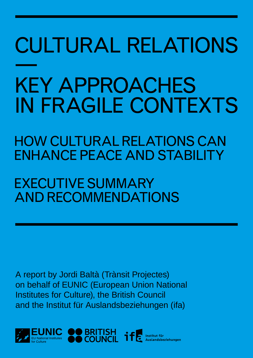# CULTURAL RELATIONS — KEY APPROACHES IN FRAGILE CONTEXTS

HOW CULTURAL RELATIONS CAN ENHANCE PEACE AND STABILITY

EXECUTIVE SUMMARY AND RECOMMENDATIONS

A report by Jordi Baltà (Trànsit Projectes) on behalf of EUNIC (European Union National Institutes for Culture), the British Council and the Institut für Auslandsbeziehungen (ifa)

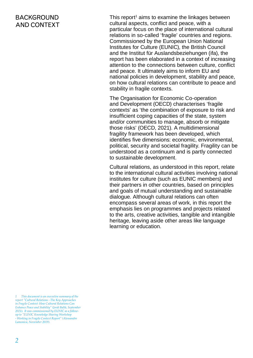## BACKGROUND AND CONTEXT

This report $1$  aims to examine the linkages between cultural aspects, conflict and peace, with a particular focus on the place of international cultural relations in so-called 'fragile' countries and regions. Commissioned by the European Union National Institutes for Culture (EUNIC), the British Council and the Institut für Auslandsbeziehungen (ifa), the report has been elaborated in a context of increasing attention to the connections between culture, conflict and peace. It ultimately aims to inform EU and national policies in development, stability and peace, on how cultural relations can contribute to peace and stability in fragile contexts.

The Organisation for Economic Co-operation and Development (OECD) characterises 'fragile contexts' as 'the combination of exposure to risk and insufficient coping capacities of the state, system and/or communities to manage, absorb or mitigate those risks' (OECD, 2021). A multidimensional fragility framework has been developed, which identifies five dimensions: economic, environmental, political, security and societal fragility. Fragility can be understood as a continuum and is partly connected to sustainable development.

Cultural relations, as understood in this report, relate to the international cultural activities involving national institutes for culture (such as EUNIC members) and their partners in other countries, based on principles and goals of mutual understanding and sustainable dialogue. Although cultural relations can often encompass several areas of work, in this report the emphasis lies on programmes and projects related to the arts, creative activities, tangible and intangible heritage, leaving aside other areas like language learning or education.

*<sup>1</sup> This document is an executive summary of the report "Cultural Relations - The Key Approaches in Fragile Context: How Cultural Relations Can Enhance Peace and Stability" (Jordi Baltà, September 2021). It was commissioned by EUNIC as a followup to "EUNIC Knowledge Sharing Workshop - Working in Fragile Context Report" (Alessandro Lamonica, November 2019).*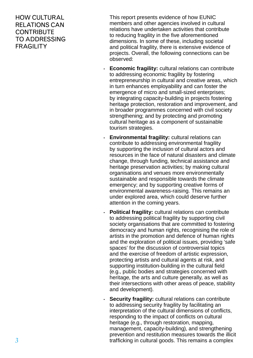## HOW CULTURAL RELATIONS CAN **CONTRIBUTE** TO ADDRESSING **FRAGILITY**

This report presents evidence of how EUNIC members and other agencies involved in cultural relations have undertaken activities that contribute to reducing fragility in the five aforementioned dimensions. In some of these, including societal and political fragility, there is extensive evidence of projects. Overall, the following connections can be observed:

- **Economic fragility:** cultural relations can contribute to addressing economic fragility by fostering entrepreneurship in cultural and creative areas, which in turn enhances employability and can foster the emergence of micro and small-sized enterprises; by integrating capacity-building in projects fostering heritage protection, restoration and improvement, and in broader programmes concerned with civil society strengthening; and by protecting and promoting cultural heritage as a component of sustainable tourism strategies.
- **Environmental fragility:** cultural relations can contribute to addressing environmental fragility by supporting the inclusion of cultural actors and resources in the face of natural disasters and climate change, through funding, technical assistance and heritage preservation activities; by making cultural organisations and venues more environmentally sustainable and responsible towards the climate emergency; and by supporting creative forms of environmental awareness-raising. This remains an under explored area, which could deserve further attention in the coming years.
- **Political fragility:** cultural relations can contribute to addressing political fragility by supporting civil society organisations that are committed to fostering democracy and human rights, recognising the role of artists in the promotion and defence of human rights and the exploration of political issues, providing 'safe spaces' for the discussion of controversial topics and the exercise of freedom of artistic expression, protecting artists and cultural agents at risk, and supporting institution-building in the cultural field (e.g., public bodies and strategies concerned with heritage, the arts and culture generally, as well as their intersections with other areas of peace, stability and development).
- **Security fragility:** cultural relations can contribute to addressing security fragility by facilitating an interpretation of the cultural dimensions of conflicts, responding to the impact of conflicts on cultural heritage (e.g., through restoration, mapping, management, capacity-building), and strengthening prevention and restitution measures towards the illicit trafficking in cultural goods. This remains a complex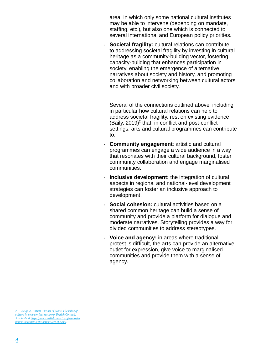area, in which only some national cultural institutes may be able to intervene (depending on mandate, staffing, etc.), but also one which is connected to several international and European policy priorities.

• **Societal fragility:** cultural relations can contribute to addressing societal fragility by investing in cultural heritage as a community-building vector, fostering capacity-building that enhances participation in society, enabling the emergence of alternative narratives about society and history, and promoting collaboration and networking between cultural actors and with broader civil society.

Several of the connections outlined above, including in particular how cultural relations can help to address societal fragility, rest on existing evidence (Baily,  $2019)^2$  that, in conflict and post-conflict settings, arts and cultural programmes can contribute to:

- **Community engagement**: artistic and cultural programmes can engage a wide audience in a way that resonates with their cultural background, foster community collaboration and engage marginalised communities.
- **Inclusive development:** the integration of cultural aspects in regional and national-level development strategies can foster an inclusive approach to development.
- **Social cohesion:** cultural activities based on a shared common heritage can build a sense of community and provide a platform for dialogue and moderate narratives. Storytelling provides a way for divided communities to address stereotypes.
- **Voice and agency:** in areas where traditional protest is difficult, the arts can provide an alternative outlet for expression, give voice to marginalised communities and provide them with a sense of agency.

*<sup>2</sup> Baily, A. (2019). The art of peace: The value of culture in post-conflict recovery. British Council. Available at [https://www.britishcouncil.org/research](https://www.britishcouncil.org/research-policy-insight/insight-articles/art-of-peace)[policy-insight/insight-articles/art-of-peace](https://www.britishcouncil.org/research-policy-insight/insight-articles/art-of-peace).*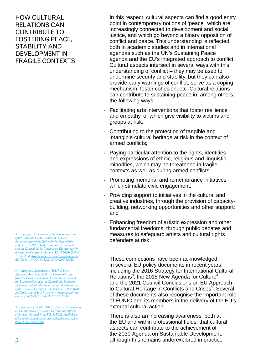HOW CULTURAL RELATIONS CAN CONTRIBUTE TO FOSTERING PEACE, STABILITY AND DEVELOPMENT IN FRAGILE CONTEXTS

*3 European Commission, Joint Communication of the European Commission and the High Representative of the Union for Foreign Affairs and Security Policy to the European Parliament and the Council (2016) Towards an EU strategy for international cultural relations. JOIN(2016) 29 final). Available at [https://eur-lex.europa.eu/legal-content/](https://eur-lex.europa.eu/legal-content/EN/TXT/?uri=JOIN%3A2016%3A29%3AFIN) [EN/TXT/?uri=JOIN%3A2016%3A29%3AFIN](https://eur-lex.europa.eu/legal-content/EN/TXT/?uri=JOIN%3A2016%3A29%3AFIN)*

*4 European Commission. (2018). A New European Agenda for Culture. Communication from the Commission to the European Parliament, the European Council, the Council, the European Economic and Social Committee and the Committee of the Regions. European Commission, COM(2018) 267 final. Available at [https://eur-lex.europa.eu/legal](https://eur-lex.europa.eu/legal-content/EN/TXT/?uri=COM:2018:267:FIN)[content/EN/TXT/?uri=COM:2018:267:FIN](https://eur-lex.europa.eu/legal-content/EN/TXT/?uri=COM:2018:267:FIN)*

*5 Council of the EU. (2021a). Council Conclusions on EU Approach to Cultural Heritage in conflicts and crises. Council of the EU, 9837/21. Available at [https://data.consilium.europa.eu/doc/document/ST-](https://data.consilium.europa.eu/doc/document/ST-9837-2021-INIT/en/pdf)[9837-2021-INIT/en/pdf](https://data.consilium.europa.eu/doc/document/ST-9837-2021-INIT/en/pdf)*

In this respect, cultural aspects can find a good entry point in contemporary notions of 'peace', which are increasingly connected to development and social justice, and which go beyond a binary opposition of conflict and peace. This understanding is reflected both in academic studies and in international agendas such as the UN's Sustaining Peace agenda and the EU's integrated approach to conflict. Cultural aspects intersect in several ways with this understanding of conflict – they may be used to undermine security and stability, but they can also provide early warnings of conflict, serve as a coping mechanism, foster cohesion, etc. Cultural relations can contribute to sustaining peace in, among others, the following ways:

- Facilitating arts interventions that foster resilience and empathy, or which give visibility to victims and groups at risk;
- Contributing to the protection of tangible and intangible cultural heritage at risk in the context of armed conflicts;
- Paying particular attention to the rights, identities and expressions of ethnic, religious and linguistic minorities, which may be threatened in fragile contexts as well as during armed conflicts;
- Promoting memorial and remembrance initiatives which stimulate civic engagement;
- Providing support to initiatives in the cultural and creative industries, through the provision of capacitybuilding, networking opportunities and other support; and
- Enhancing freedom of artistic expression and other fundamental freedoms, through public debates and measures to safeguard artists and cultural rights defenders at risk.

These connections have been acknowledged in several EU policy documents in recent years, including the 2016 Strategy for International Cultural Relations<sup>3</sup>, the 2018 New Agenda for Culture<sup>4</sup>, and the 2021 Council Conclusions on EU Approach to Cultural Heritage in Conflicts and Crises<sup>5</sup>. Several of these documents also recognise the important role of EUNIC and its members in the delivery of the EU's external cultural action.

There is also an increasing awareness, both at the EU and within professional fields, that cultural aspects can contribute to the achievement of the 2030 Agenda on Sustainable Development, although this remains underexplored in practice.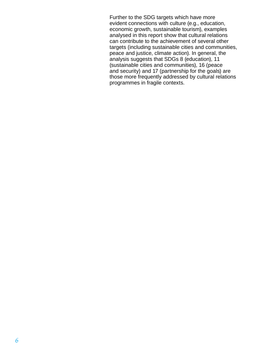Further to the SDG targets which have more evident connections with culture (e.g., education, economic growth, sustainable tourism), examples analysed in this report show that cultural relations can contribute to the achievement of several other targets (including sustainable cities and communities, peace and justice, climate action). In general, the analysis suggests that SDGs 8 (education), 11 (sustainable cities and communities), 16 (peace and security) and 17 (partnership for the goals) are those more frequently addressed by cultural relations programmes in fragile contexts.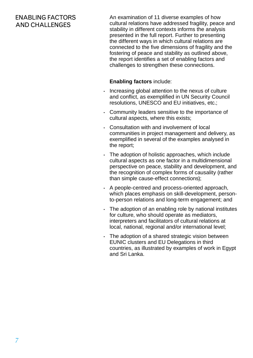# ENABLING FACTORS AND CHALLENGES

An examination of 11 diverse examples of how cultural relations have addressed fragility, peace and stability in different contexts informs the analysis presented in the full report. Further to presenting the different ways in which cultural relations are connected to the five dimensions of fragility and the fostering of peace and stability as outlined above, the report identifies a set of enabling factors and challenges to strengthen these connections.

#### **Enabling factors** include:

- Increasing global attention to the nexus of culture and conflict, as exemplified in UN Security Council resolutions, UNESCO and EU initiatives, etc.;
- Community leaders sensitive to the importance of cultural aspects, where this exists;
- Consultation with and involvement of local communities in project management and delivery, as exemplified in several of the examples analysed in the report;
- The adoption of holistic approaches, which include cultural aspects as one factor in a multidimensional perspective on peace, stability and development, and the recognition of complex forms of causality (rather than simple cause-effect connections);
- A people-centred and process-oriented approach, which places emphasis on skill-development, personto-person relations and long-term engagement; and
- The adoption of an enabling role by national institutes for culture, who should operate as mediators, interpreters and facilitators of cultural relations at local, national, regional and/or international level;
- The adoption of a shared strategic vision between EUNIC clusters and EU Delegations in third countries, as illustrated by examples of work in Egypt and Sri Lanka.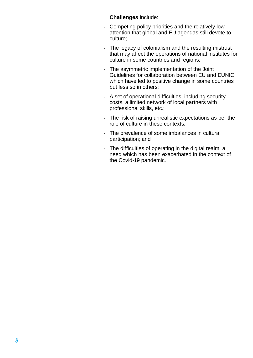#### **Challenges** include:

- Competing policy priorities and the relatively low attention that global and EU agendas still devote to culture;
- The legacy of colonialism and the resulting mistrust that may affect the operations of national institutes for culture in some countries and regions;
- The asymmetric implementation of the Joint Guidelines for collaboration between EU and EUNIC, which have led to positive change in some countries but less so in others;
- A set of operational difficulties, including security costs, a limited network of local partners with professional skills, etc.;
- The risk of raising unrealistic expectations as per the role of culture in these contexts;
- The prevalence of some imbalances in cultural participation; and
- The difficulties of operating in the digital realm, a need which has been exacerbated in the context of the Covid-19 pandemic.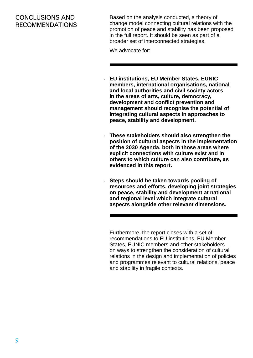## CONCLUSIONS AND RECOMMENDATIONS

Based on the analysis conducted, a theory of change model connecting cultural relations with the promotion of peace and stability has been proposed in the full report. It should be seen as part of a broader set of interconnected strategies.

We advocate for:

- **EU institutions, EU Member States, EUNIC members, international organisations, national and local authorities and civil society actors in the areas of arts, culture, democracy, development and conflict prevention and management should recognise the potential of integrating cultural aspects in approaches to peace, stability and development.**
- **These stakeholders should also strengthen the position of cultural aspects in the implementation of the 2030 Agenda, both in those areas where explicit connections with culture exist and in others to which culture can also contribute, as evidenced in this report.**
- **Steps should be taken towards pooling of resources and efforts, developing joint strategies on peace, stability and development at national and regional level which integrate cultural aspects alongside other relevant dimensions.**

Furthermore, the report closes with a set of recommendations to EU institutions, EU Member States, EUNIC members and other stakeholders on ways to strengthen the consideration of cultural relations in the design and implementation of policies and programmes relevant to cultural relations, peace and stability in fragile contexts.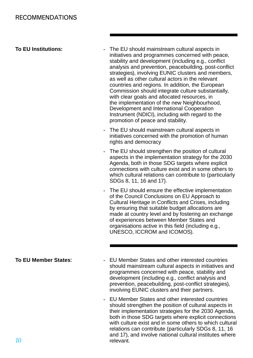**To EU Institutions:**

- The EU should mainstream cultural aspects in initiatives and programmes concerned with peace, stability and development (including e.g., conflict analysis and prevention, peacebuilding, post-conflict strategies), involving EUNIC clusters and members, as well as other cultural actors in the relevant countries and regions. In addition, the European Commission should integrate culture substantially, with clear goals and allocated resources, in the implementation of the new Neighbourhood, Development and International Cooperation Instrument (NDICI), including with regard to the promotion of peace and stability.
- The EU should mainstream cultural aspects in initiatives concerned with the promotion of human rights and democracy
- The EU should strengthen the position of cultural aspects in the implementation strategy for the 2030 Agenda, both in those SDG targets where explicit connections with culture exist and in some others to which cultural relations can contribute to (particularly SDGs 8, 11, 16 and 17).
- The EU should ensure the effective implementation of the Council Conclusions on EU Approach to Cultural Heritage in Conflicts and Crises, including by ensuring that suitable budget allocations are made at country level and by fostering an exchange of experiences between Member States and organisations active in this field (including e.g., UNESCO, ICCROM and ICOMOS).

• EU Member States and other interested countries should mainstream cultural aspects in initiatives and programmes concerned with peace, stability and development (including e.g., conflict analysis and prevention, peacebuilding, post-conflict strategies), involving EUNIC clusters and their partners.

> • EU Member States and other interested countries should strengthen the position of cultural aspects in their implementation strategies for the 2030 Agenda, both in those SDG targets where explicit connections with culture exist and in some others to which cultural relations can contribute (particularly SDGs 8, 11, 16 and 17), and involve national cultural institutes where relevant.

**To EU Member States**: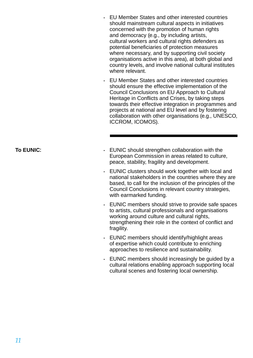- EU Member States and other interested countries should mainstream cultural aspects in initiatives concerned with the promotion of human rights and democracy (e.g., by including artists, cultural workers and cultural rights defenders as potential beneficiaries of protection measures where necessary, and by supporting civil society organisations active in this area), at both global and country levels, and involve national cultural institutes where relevant.
- EU Member States and other interested countries should ensure the effective implementation of the Council Conclusions on EU Approach to Cultural Heritage in Conflicts and Crises, by taking steps towards their effective integration in programmes and projects at national and EU level and by fostering collaboration with other organisations (e.g., UNESCO, ICCROM, ICOMOS).

**To EUNIC**:

- EUNIC should strengthen collaboration with the European Commission in areas related to culture, peace, stability, fragility and development.
- EUNIC clusters should work together with local and national stakeholders in the countries where they are based, to call for the inclusion of the principles of the Council Conclusions in relevant country strategies, with earmarked funding.
- EUNIC members should strive to provide safe spaces to artists, cultural professionals and organisations working around culture and cultural rights. strengthening their role in the context of conflict and fragility.
- EUNIC members should identify/highlight areas of expertise which could contribute to enriching approaches to resilience and sustainability.
- EUNIC members should increasingly be guided by a cultural relations enabling approach supporting local cultural scenes and fostering local ownership.